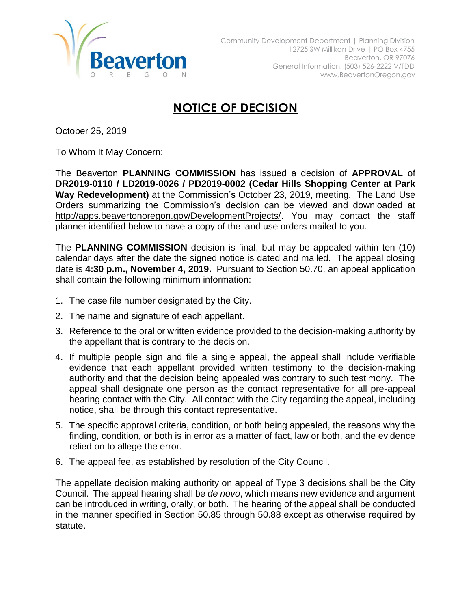

## **NOTICE OF DECISION**

October 25, 2019

To Whom It May Concern:

The Beaverton **PLANNING COMMISSION** has issued a decision of **APPROVAL** of **DR2019-0110 / LD2019-0026 / PD2019-0002 (Cedar Hills Shopping Center at Park Way Redevelopment)** at the Commission's October 23, 2019, meeting. The Land Use Orders summarizing the Commission's decision can be viewed and downloaded at [http://apps.beavertonoregon.gov/DevelopmentProjects/.](http://apps.beavertonoregon.gov/DevelopmentProjects/) You may contact the staff planner identified below to have a copy of the land use orders mailed to you.

The **PLANNING COMMISSION** decision is final, but may be appealed within ten (10) calendar days after the date the signed notice is dated and mailed. The appeal closing date is **4:30 p.m., November 4, 2019.** Pursuant to Section 50.70, an appeal application shall contain the following minimum information:

- 1. The case file number designated by the City.
- 2. The name and signature of each appellant.
- 3. Reference to the oral or written evidence provided to the decision-making authority by the appellant that is contrary to the decision.
- 4. If multiple people sign and file a single appeal, the appeal shall include verifiable evidence that each appellant provided written testimony to the decision-making authority and that the decision being appealed was contrary to such testimony. The appeal shall designate one person as the contact representative for all pre-appeal hearing contact with the City. All contact with the City regarding the appeal, including notice, shall be through this contact representative.
- 5. The specific approval criteria, condition, or both being appealed, the reasons why the finding, condition, or both is in error as a matter of fact, law or both, and the evidence relied on to allege the error.
- 6. The appeal fee, as established by resolution of the City Council.

The appellate decision making authority on appeal of Type 3 decisions shall be the City Council. The appeal hearing shall be *de novo*, which means new evidence and argument can be introduced in writing, orally, or both. The hearing of the appeal shall be conducted in the manner specified in Section 50.85 through 50.88 except as otherwise required by statute.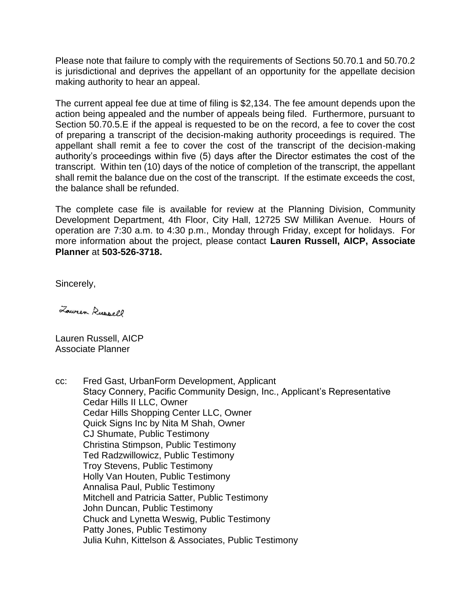Please note that failure to comply with the requirements of Sections 50.70.1 and 50.70.2 is jurisdictional and deprives the appellant of an opportunity for the appellate decision making authority to hear an appeal.

The current appeal fee due at time of filing is \$2,134. The fee amount depends upon the action being appealed and the number of appeals being filed. Furthermore, pursuant to Section 50.70.5.E if the appeal is requested to be on the record, a fee to cover the cost of preparing a transcript of the decision-making authority proceedings is required. The appellant shall remit a fee to cover the cost of the transcript of the decision-making authority's proceedings within five (5) days after the Director estimates the cost of the transcript. Within ten (10) days of the notice of completion of the transcript, the appellant shall remit the balance due on the cost of the transcript. If the estimate exceeds the cost, the balance shall be refunded.

The complete case file is available for review at the Planning Division, Community Development Department, 4th Floor, City Hall, 12725 SW Millikan Avenue. Hours of operation are 7:30 a.m. to 4:30 p.m., Monday through Friday, except for holidays. For more information about the project, please contact **Lauren Russell, AICP, Associate Planner** at **503-526-3718.**

Sincerely,

Lower Russell

Lauren Russell, AICP Associate Planner

cc: Fred Gast, UrbanForm Development, Applicant Stacy Connery, Pacific Community Design, Inc., Applicant's Representative Cedar Hills II LLC, Owner Cedar Hills Shopping Center LLC, Owner Quick Signs Inc by Nita M Shah, Owner CJ Shumate, Public Testimony Christina Stimpson, Public Testimony Ted Radzwillowicz, Public Testimony Troy Stevens, Public Testimony Holly Van Houten, Public Testimony Annalisa Paul, Public Testimony Mitchell and Patricia Satter, Public Testimony John Duncan, Public Testimony Chuck and Lynetta Weswig, Public Testimony Patty Jones, Public Testimony Julia Kuhn, Kittelson & Associates, Public Testimony